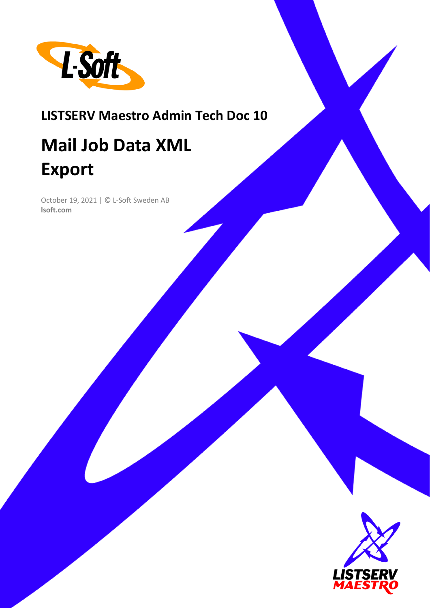

# **LISTSERV Maestro Admin Tech Doc 10**

# **Mail Job Data XML Export**

October 19, 2021 | © L-Soft Sweden AB **lsoft.com**

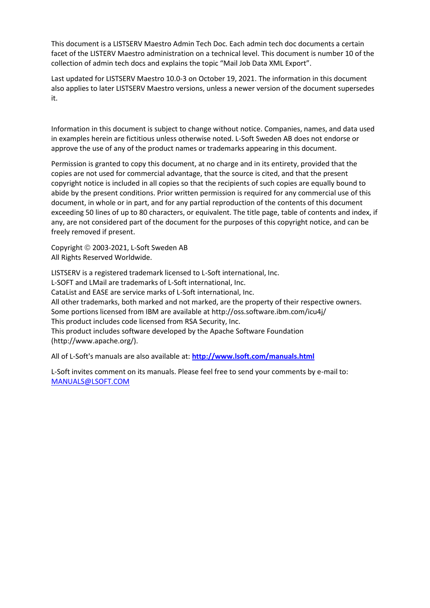This document is a LISTSERV Maestro Admin Tech Doc. Each admin tech doc documents a certain facet of the LISTERV Maestro administration on a technical level. This document is number 10 of the collection of admin tech docs and explains the topic "Mail Job Data XML Export".

Last updated for LISTSERV Maestro 10.0-3 on October 19, 2021. The information in this document also applies to later LISTSERV Maestro versions, unless a newer version of the document supersedes it.

Information in this document is subject to change without notice. Companies, names, and data used in examples herein are fictitious unless otherwise noted. L-Soft Sweden AB does not endorse or approve the use of any of the product names or trademarks appearing in this document.

Permission is granted to copy this document, at no charge and in its entirety, provided that the copies are not used for commercial advantage, that the source is cited, and that the present copyright notice is included in all copies so that the recipients of such copies are equally bound to abide by the present conditions. Prior written permission is required for any commercial use of this document, in whole or in part, and for any partial reproduction of the contents of this document exceeding 50 lines of up to 80 characters, or equivalent. The title page, table of contents and index, if any, are not considered part of the document for the purposes of this copyright notice, and can be freely removed if present.

Copyright © 2003-2021, L-Soft Sweden AB All Rights Reserved Worldwide.

LISTSERV is a registered trademark licensed to L-Soft international, Inc. L-SOFT and LMail are trademarks of L-Soft international, Inc. CataList and EASE are service marks of L-Soft international, Inc. All other trademarks, both marked and not marked, are the property of their respective owners. Some portions licensed from IBM are available at http://oss.software.ibm.com/icu4j/ This product includes code licensed from RSA Security, Inc. This product includes software developed by the Apache Software Foundation (http://www.apache.org/).

All of L-Soft's manuals are also available at: **<http://www.lsoft.com/manuals.html>**

L-Soft invites comment on its manuals. Please feel free to send your comments by e-mail to: [MANUALS@LSOFT.COM](mailto:MANUALS@LSOFT.COM)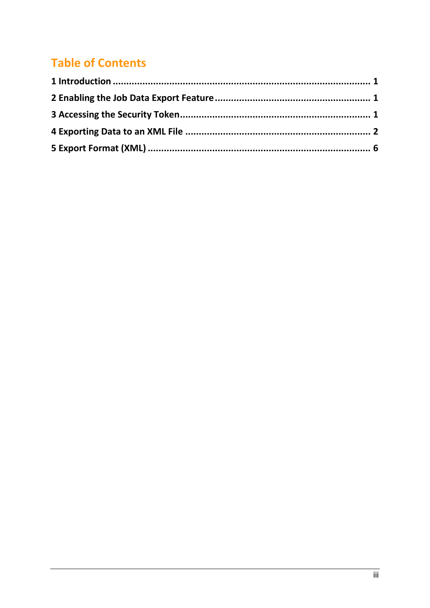# **Table of Contents**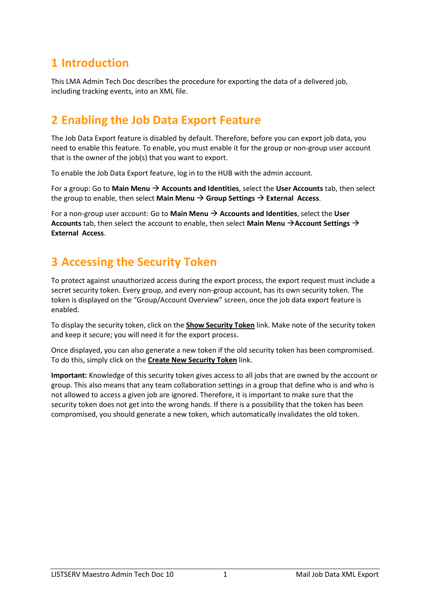### **1 Introduction**

This LMA Admin Tech Doc describes the procedure for exporting the data of a delivered job, including tracking events, into an XML file.

#### **2 Enabling the Job Data Export Feature**

The Job Data Export feature is disabled by default. Therefore, before you can export job data, you need to enable this feature. To enable, you must enable it for the group or non-group user account that is the owner of the job(s) that you want to export.

To enable the Job Data Export feature, log in to the HUB with the admin account.

For a group: Go to **Main Menu** → **Accounts and Identities**, select the **User Accounts** tab, then select the group to enable, then select **Main Menu**  $\rightarrow$  **Group Settings**  $\rightarrow$  **External Access.** 

For a non-group user account: Go to **Main Menu** → **Accounts and Identities**, select the **User Accounts** tab, then select the account to enable, then select **Main Menu** →**Account Settings** → **External Access**.

## **3 Accessing the Security Token**

To protect against unauthorized access during the export process, the export request must include a secret security token. Every group, and every non-group account, has its own security token. The token is displayed on the "Group/Account Overview" screen, once the job data export feature is enabled.

To display the security token, click on the **Show Security Token** link. Make note of the security token and keep it secure; you will need it for the export process.

Once displayed, you can also generate a new token if the old security token has been compromised. To do this, simply click on the **Create New Security Token** link.

**Important:** Knowledge of this security token gives access to all jobs that are owned by the account or group. This also means that any team collaboration settings in a group that define who is and who is not allowed to access a given job are ignored. Therefore, it is important to make sure that the security token does not get into the wrong hands. If there is a possibility that the token has been compromised, you should generate a new token, which automatically invalidates the old token.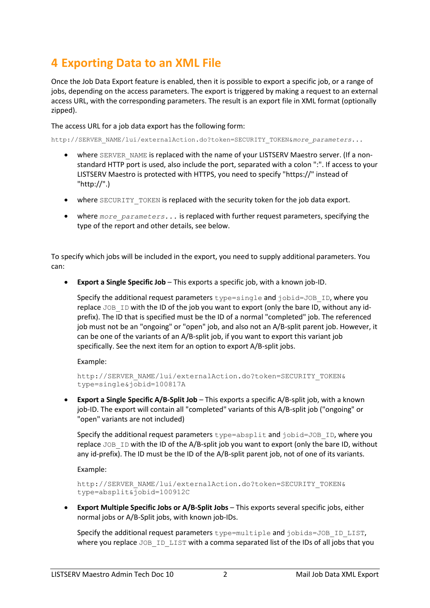## **4 Exporting Data to an XML File**

Once the Job Data Export feature is enabled, then it is possible to export a specific job, or a range of jobs, depending on the access parameters. The export is triggered by making a request to an external access URL, with the corresponding parameters. The result is an export file in XML format (optionally zipped).

The access URL for a job data export has the following form:

http://SERVER\_NAME/lui/externalAction.do?token=SECURITY\_TOKEN&*more\_parameters...*

- where SERVER NAME is replaced with the name of your LISTSERV Maestro server. (If a nonstandard HTTP port is used, also include the port, separated with a colon ":". If access to your LISTSERV Maestro is protected with HTTPS, you need to specify "https://" instead of "http://".)
- where SECURITY TOKEN is replaced with the security token for the job data export.
- where *more parameters...* is replaced with further request parameters, specifying the type of the report and other details, see below.

To specify which jobs will be included in the export, you need to supply additional parameters. You can:

• **Export a Single Specific Job** – This exports a specific job, with a known job-ID.

Specify the additional request parameters  $type=single$  and  $jobid=JOB$  ID, where you replace  $JOB$  ID with the ID of the job you want to export (only the bare ID, without any idprefix). The ID that is specified must be the ID of a normal "completed" job. The referenced job must not be an "ongoing" or "open" job, and also not an A/B-split parent job. However, it can be one of the variants of an A/B-split job, if you want to export this variant job specifically. See the next item for an option to export A/B-split jobs.

Example:

http://SERVER\_NAME/lui/externalAction.do?token=SECURITY\_TOKEN& type=single&jobid=100817A

• **Export a Single Specific A/B-Split Job** – This exports a specific A/B-split job, with a known job-ID. The export will contain all "completed" variants of this A/B-split job ("ongoing" or "open" variants are not included)

Specify the additional request parameters type=absplit and jobid=JOB\_ID, where you replace JOB ID with the ID of the A/B-split job you want to export (only the bare ID, without any id-prefix). The ID must be the ID of the A/B-split parent job, not of one of its variants.

Example:

```
http://SERVER_NAME/lui/externalAction.do?token=SECURITY_TOKEN&
type=absplit&jobid=100912C
```
• **Export Multiple Specific Jobs or A/B-Split Jobs** – This exports several specific jobs, either normal jobs or A/B-Split jobs, with known job-IDs.

Specify the additional request parameters type=multiple and jobids=JOB\_ID\_LIST, where you replace JOB ID LIST with a comma separated list of the IDs of all jobs that you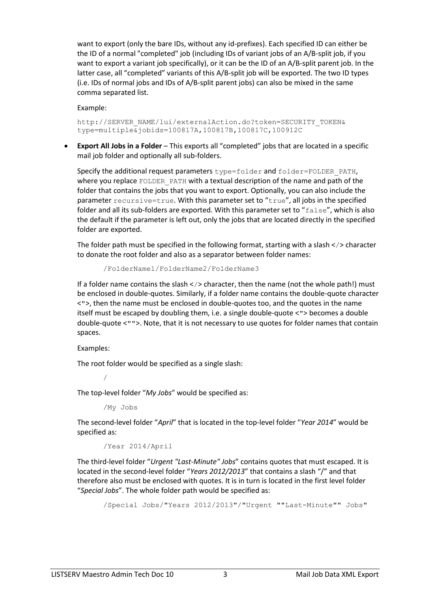want to export (only the bare IDs, without any id-prefixes). Each specified ID can either be the ID of a normal "completed" job (including IDs of variant jobs of an A/B-split job, if you want to export a variant job specifically), or it can be the ID of an A/B-split parent job. In the latter case, all "completed" variants of this A/B-split job will be exported. The two ID types (i.e. IDs of normal jobs and IDs of A/B-split parent jobs) can also be mixed in the same comma separated list.

Example:

http://SERVER\_NAME/lui/externalAction.do?token=SECURITY\_TOKEN& type=multiple&jobids=100817A,100817B,100817C,100912C

• **Export All Jobs in a Folder** – This exports all "completed" jobs that are located in a specific mail job folder and optionally all sub-folders.

Specify the additional request parameters type=folder and folder=FOLDER\_PATH, where you replace FOLDER PATH with a textual description of the name and path of the folder that contains the jobs that you want to export. Optionally, you can also include the parameter recursive=true. With this parameter set to "true", all jobs in the specified folder and all its sub-folders are exported. With this parameter set to "false", which is also the default if the parameter is left out, only the jobs that are located directly in the specified folder are exported.

The folder path must be specified in the following format, starting with a slash  $\langle \rangle$  character to donate the root folder and also as a separator between folder names:

/FolderName1/FolderName2/FolderName3

If a folder name contains the slash  $\lt/$  character, then the name (not the whole path!) must be enclosed in double-quotes. Similarly, if a folder name contains the double-quote character <">, then the name must be enclosed in double-quotes too, and the quotes in the name itself must be escaped by doubling them, i.e. a single double-quote <"> becomes a double double-quote <"">. Note, that it is not necessary to use quotes for folder names that contain spaces.

Examples:

The root folder would be specified as a single slash:

/

The top-level folder "*My Jobs*" would be specified as:

/My Jobs

The second-level folder "*April*" that is located in the top-level folder "*Year 2014*" would be specified as:

/Year 2014/April

The third-level folder "*Urgent "Last-Minute" Jobs*" contains quotes that must escaped. It is located in the second-level folder "*Years 2012/2013*" that contains a slash "/" and that therefore also must be enclosed with quotes. It is in turn is located in the first level folder "*Special Jobs*". The whole folder path would be specified as:

/Special Jobs/"Years 2012/2013"/"Urgent ""Last-Minute"" Jobs"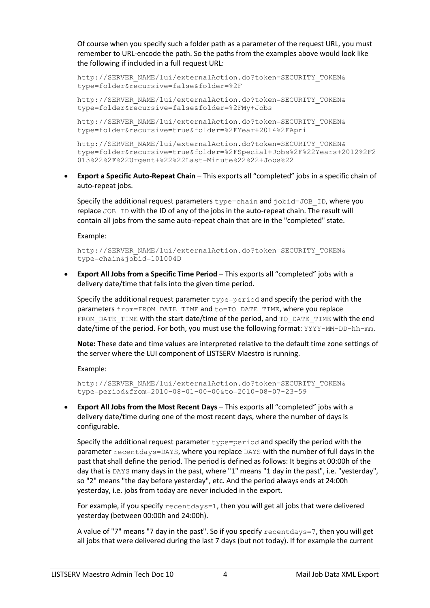Of course when you specify such a folder path as a parameter of the request URL, you must remember to URL-encode the path. So the paths from the examples above would look like the following if included in a full request URL:

```
http://SERVER_NAME/lui/externalAction.do?token=SECURITY_TOKEN&
type=folder&recursive=false&folder=%2F
```
http://SERVER\_NAME/lui/externalAction.do?token=SECURITY\_TOKEN& type=folder&recursive=false&folder=%2FMy+Jobs

http://SERVER\_NAME/lui/externalAction.do?token=SECURITY\_TOKEN& type=folder&recursive=true&folder=%2FYear+2014%2FApril

http://SERVER\_NAME/lui/externalAction.do?token=SECURITY\_TOKEN& type=folder&recursive=true&folder=%2FSpecial+Jobs%2F%22Years+2012%2F2 013%22%2F%22Urgent+%22%22Last-Minute%22%22+Jobs%22

• **Export a Specific Auto-Repeat Chain** – This exports all "completed" jobs in a specific chain of auto-repeat jobs.

Specify the additional request parameters type=chain and jobid=JOB\_ID, where you replace JOB ID with the ID of any of the jobs in the auto-repeat chain. The result will contain all jobs from the same auto-repeat chain that are in the "completed" state.

Example:

http://SERVER\_NAME/lui/externalAction.do?token=SECURITY\_TOKEN& type=chain&jobid=101004D

• **Export All Jobs from a Specific Time Period** – This exports all "completed" jobs with a delivery date/time that falls into the given time period.

Specify the additional request parameter  $type=period$  and specify the period with the parameters from=FROM\_DATE\_TIME and to=TO\_DATE\_TIME, where you replace FROM DATE TIME with the start date/time of the period, and TO\_DATE\_TIME with the end date/time of the period. For both, you must use the following format: YYYY-MM-DD-hh-mm.

**Note:** These date and time values are interpreted relative to the default time zone settings of the server where the LUI component of LISTSERV Maestro is running.

Example:

```
http://SERVER_NAME/lui/externalAction.do?token=SECURITY_TOKEN&
type=period&from=2010-08-01-00-00&to=2010-08-07-23-59
```
• **Export All Jobs from the Most Recent Days** – This exports all "completed" jobs with a delivery date/time during one of the most recent days, where the number of days is configurable.

Specify the additional request parameter  $type=period$  and specify the period with the parameter recentdays=DAYS, where you replace DAYS with the number of full days in the past that shall define the period. The period is defined as follows: It begins at 00:00h of the day that is DAYS many days in the past, where "1" means "1 day in the past", i.e. "yesterday", so "2" means "the day before yesterday", etc. And the period always ends at 24:00h yesterday, i.e. jobs from today are never included in the export.

For example, if you specify  $recentdays=1$ , then you will get all jobs that were delivered yesterday (between 00:00h and 24:00h).

A value of "7" means "7 day in the past". So if you specify recentdays=7, then you will get all jobs that were delivered during the last 7 days (but not today). If for example the current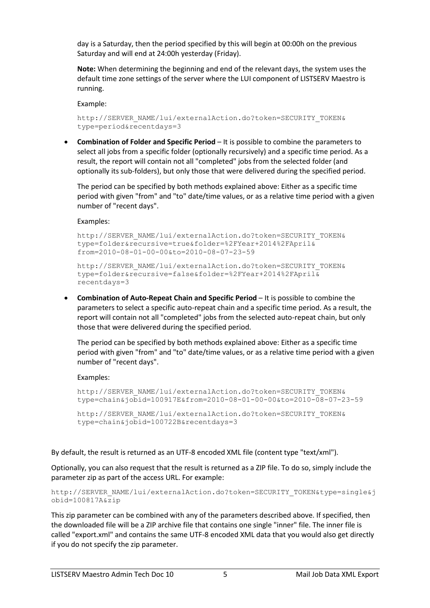day is a Saturday, then the period specified by this will begin at 00:00h on the previous Saturday and will end at 24:00h yesterday (Friday).

**Note:** When determining the beginning and end of the relevant days, the system uses the default time zone settings of the server where the LUI component of LISTSERV Maestro is running.

Example:

```
http://SERVER_NAME/lui/externalAction.do?token=SECURITY_TOKEN&
type=period&recentdays=3
```
• **Combination of Folder and Specific Period** – It is possible to combine the parameters to select all jobs from a specific folder (optionally recursively) and a specific time period. As a result, the report will contain not all "completed" jobs from the selected folder (and optionally its sub-folders), but only those that were delivered during the specified period.

The period can be specified by both methods explained above: Either as a specific time period with given "from" and "to" date/time values, or as a relative time period with a given number of "recent days".

Examples:

```
http://SERVER_NAME/lui/externalAction.do?token=SECURITY_TOKEN&
type=folder&recursive=true&folder=%2FYear+2014%2FApril&
from=2010-08-01-00-00&to=2010-08-07-23-59
```

```
http://SERVER_NAME/lui/externalAction.do?token=SECURITY_TOKEN&
type=folder&recursive=false&folder=%2FYear+2014%2FApril&
recentdays=3
```
• **Combination of Auto-Repeat Chain and Specific Period** – It is possible to combine the parameters to select a specific auto-repeat chain and a specific time period. As a result, the report will contain not all "completed" jobs from the selected auto-repeat chain, but only those that were delivered during the specified period.

The period can be specified by both methods explained above: Either as a specific time period with given "from" and "to" date/time values, or as a relative time period with a given number of "recent days".

Examples:

```
http://SERVER_NAME/lui/externalAction.do?token=SECURITY_TOKEN&
type=chain&jobid=100917E&from=2010-08-01-00-00&to=2010-08-07-23-59
http://SERVER_NAME/lui/externalAction.do?token=SECURITY_TOKEN&
```

```
type=chain&jobid=100722B&recentdays=3
```
By default, the result is returned as an UTF-8 encoded XML file (content type "text/xml").

Optionally, you can also request that the result is returned as a ZIP file. To do so, simply include the parameter zip as part of the access URL. For example:

```
http://SERVER_NAME/lui/externalAction.do?token=SECURITY_TOKEN&type=single&j
obid=100817A&zip
```
This zip parameter can be combined with any of the parameters described above. If specified, then the downloaded file will be a ZIP archive file that contains one single "inner" file. The inner file is called "export.xml" and contains the same UTF-8 encoded XML data that you would also get directly if you do not specify the zip parameter.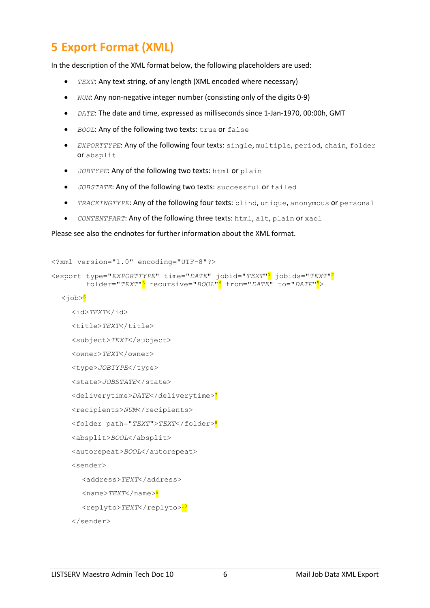#### **5 Export Format (XML)**

In the description of the XML format below, the following placeholders are used:

- *TEXT*: Any text string, of any length (XML encoded where necessary)
- *NUM*: Any non-negative integer number (consisting only of the digits 0-9)
- *DATE*: The date and time, expressed as milliseconds since 1-Jan-1970, 00:00h, GMT
- **•** *BOOL*: Any of the following two texts: true or false
- *EXPORTTYPE*: Any of the following four texts: single, multiple, period, chain, folder or absplit
- *JOBTYPE*: Any of the following two texts: html or plain
- *JOBSTATE*: Any of the following two texts: successful or failed
- *TRACKINGTYPE*: Any of the following four texts: blind, unique, anonymous or personal
- *CONTENTPART*: Any of the following three texts: html, alt, plain or xaol

Please see also the endnotes for further information about the XML format.

```
<?xml version="1.0" encoding="UTF-8"?>
```

```
<export type="EXPORTTYPE" time="DATE" jobid="TEXT"1 jobids="TEXT"2
         folder="TEXT"3 recursive="BOOL"4 from="DATE" to="DATE"5>
  <job>6
     <id>TEXT</id>
     <title>TEXT</title>
     <subject>TEXT</subject>
     <owner>TEXT</owner>
     <type>JOBTYPE</type>
     <state>JOBSTATE</state>
     <deliverytime>DATE</deliverytime>7
     <recipients>NUM</recipients>
     <folder path="TEXT">TEXT</folder>8
     <absplit>BOOL</absplit>
     <autorepeat>BOOL</autorepeat>
     <sender>
       <address>TEXT</address>
       <name>TEXT</name>9
       <replyto>TEXT</replyto><sup>10</sup>
     </sender>
```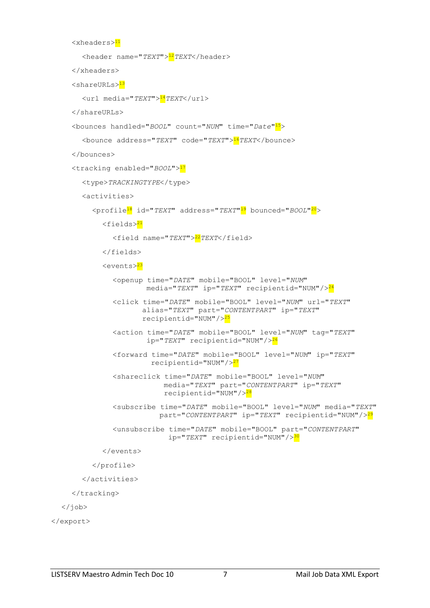```
<xheaders>11
       <header name="TEXT">12TEXT</header>
     </xheaders>
     <shareURLs>13
       <url media="TEXT">14TEXT</url>
     </shareURLs>
     <bounces handled="BOOL" count="NUM" time="Date"15>
       <bounce address="TEXT" code="TEXT">16TEXT</bounce>
     </bounces>
     <tracking enabled="BOOL">17
       <type>TRACKINGTYPE</type>
       <activities>
         <profile18 id="TEXT" address="TEXT"19 bounced="BOOL"20>
            <fields>21
              <field name="TEXT">22TEXT</field>
            </fields>
            <events>23
              <openup time="DATE" mobile="BOOL" level="NUM"
                       media="TEXT" ip="TEXT" recipientid="NUM"/>24
              <click time="DATE" mobile="BOOL" level="NUM" url="TEXT"
                      alias="TEXT" part="CONTENTPART" ip="TEXT"
                      recipientid="NUM"/>25
              <action time="DATE" mobile="BOOL" level="NUM" tag="TEXT"
                        ip="TEXT" recipientid="NUM"/>26
              <forward time="DATE" mobile="BOOL" level="NUM" ip="TEXT"
                       recipientid="NUM"/>27
              <shareclick time="DATE" mobile="BOOL" level="NUM"
                            media="TEXT" part="CONTENTPART" ip="TEXT"
                            recipientid="NUM"/>28
              <subscribe time="DATE" mobile="BOOL" level="NUM" media="TEXT"
                           part="CONTENTPART" ip="TEXT" recipientid="NUM"/>29
              <unsubscribe time="DATE" mobile="BOOL" part="CONTENTPART"
                             ip="TEXT" recipientid="NUM"/>30
            </events>
         </profile>
       </activities>
     </tracking>
  </job>
</export>
```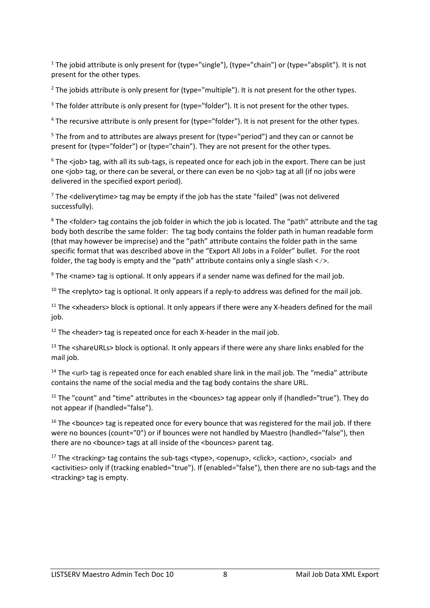<sup>1</sup> The jobid attribute is only present for (type="single"), (type="chain") or (type="absplit"). It is not present for the other types.

 $<sup>2</sup>$  The jobids attribute is only present for (type="multiple"). It is not present for the other types.</sup>

<sup>3</sup> The folder attribute is only present for (type="folder"). It is not present for the other types.

<sup>4</sup> The recursive attribute is only present for (type="folder"). It is not present for the other types.

<sup>5</sup> The from and to attributes are always present for (type="period") and they can or cannot be present for (type="folder") or (type="chain"). They are not present for the other types.

<sup>6</sup> The <job> tag, with all its sub-tags, is repeated once for each job in the export. There can be just one <job> tag, or there can be several, or there can even be no <job> tag at all (if no jobs were delivered in the specified export period).

 $<sup>7</sup>$  The <deliverytime> tag may be empty if the job has the state "failed" (was not delivered</sup> successfully).

<sup>8</sup> The <folder> tag contains the job folder in which the job is located. The "path" attribute and the tag body both describe the same folder: The tag body contains the folder path in human readable form (that may however be imprecise) and the "path" attribute contains the folder path in the same specific format that was described above in the "Export All Jobs in a Folder" bullet. For the root folder, the tag body is empty and the "path" attribute contains only a single slash  $\langle \rangle$ .

 $9$  The <name> tag is optional. It only appears if a sender name was defined for the mail job.

 $10$  The  $\epsilon$ replyto tag is optional. It only appears if a reply-to address was defined for the mail job.

<sup>11</sup> The <xheaders> block is optional. It only appears if there were any X-headers defined for the mail job.

 $12$  The <header> tag is repeated once for each X-header in the mail job.

<sup>13</sup> The <shareURLs> block is optional. It only appears if there were any share links enabled for the mail job.

<sup>14</sup> The <url> tag is repeated once for each enabled share link in the mail job. The "media" attribute contains the name of the social media and the tag body contains the share URL.

<sup>15</sup> The "count" and "time" attributes in the <bounces> tag appear only if (handled="true"). They do not appear if (handled="false").

<sup>16</sup> The <bounce> tag is repeated once for every bounce that was registered for the mail job. If there were no bounces (count="0") or if bounces were not handled by Maestro (handled="false"), then there are no <bounce> tags at all inside of the <br/> <br/>bounces> parent tag.

<sup>17</sup> The <tracking> tag contains the sub-tags <type>, <openup>, <click>, <action>, <social> and <activities> only if (tracking enabled="true"). If (enabled="false"), then there are no sub-tags and the <tracking> tag is empty.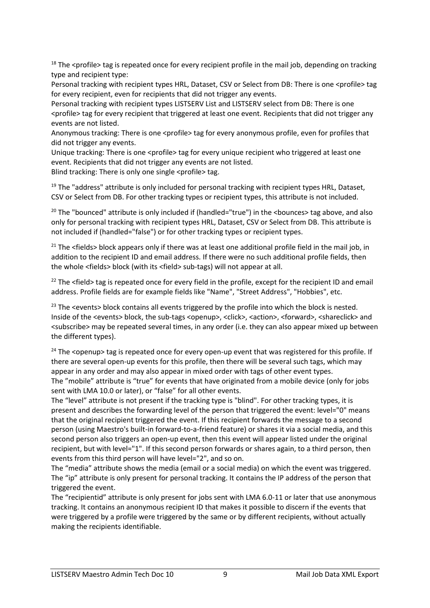$18$  The <profile> tag is repeated once for every recipient profile in the mail job, depending on tracking type and recipient type:

Personal tracking with recipient types HRL, Dataset, CSV or Select from DB: There is one <profile> tag for every recipient, even for recipients that did not trigger any events.

Personal tracking with recipient types LISTSERV List and LISTSERV select from DB: There is one <profile> tag for every recipient that triggered at least one event. Recipients that did not trigger any events are not listed.

Anonymous tracking: There is one <profile> tag for every anonymous profile, even for profiles that did not trigger any events.

Unique tracking: There is one <profile> tag for every unique recipient who triggered at least one event. Recipients that did not trigger any events are not listed. Blind tracking: There is only one single <profile> tag.

 $19$  The "address" attribute is only included for personal tracking with recipient types HRL, Dataset, CSV or Select from DB. For other tracking types or recipient types, this attribute is not included.

<sup>20</sup> The "bounced" attribute is only included if (handled="true") in the <bounces> tag above, and also only for personal tracking with recipient types HRL, Dataset, CSV or Select from DB. This attribute is not included if (handled="false") or for other tracking types or recipient types.

<sup>21</sup> The <fields> block appears only if there was at least one additional profile field in the mail job, in addition to the recipient ID and email address. If there were no such additional profile fields, then the whole <fields> block (with its <field> sub-tags) will not appear at all.

<sup>22</sup> The <field> tag is repeated once for every field in the profile, except for the recipient ID and email address. Profile fields are for example fields like "Name", "Street Address", "Hobbies", etc.

<sup>23</sup> The <events> block contains all events triggered by the profile into which the block is nested. Inside of the <events> block, the sub-tags <openup>, <click>, <action>, <forward>, <shareclick> and <subscribe> may be repeated several times, in any order (i.e. they can also appear mixed up between the different types).

<sup>24</sup> The <openup> tag is repeated once for every open-up event that was registered for this profile. If there are several open-up events for this profile, then there will be several such tags, which may appear in any order and may also appear in mixed order with tags of other event types. The "mobile" attribute is "true" for events that have originated from a mobile device (only for jobs sent with LMA 10.0 or later), or "false" for all other events.

The "level" attribute is not present if the tracking type is "blind". For other tracking types, it is present and describes the forwarding level of the person that triggered the event: level="0" means that the original recipient triggered the event. If this recipient forwards the message to a second person (using Maestro's built-in forward-to-a-friend feature) or shares it via a social media, and this second person also triggers an open-up event, then this event will appear listed under the original recipient, but with level="1". If this second person forwards or shares again, to a third person, then events from this third person will have level="2", and so on.

The "media" attribute shows the media (email or a social media) on which the event was triggered. The "ip" attribute is only present for personal tracking. It contains the IP address of the person that triggered the event.

The "recipientid" attribute is only present for jobs sent with LMA 6.0-11 or later that use anonymous tracking. It contains an anonymous recipient ID that makes it possible to discern if the events that were triggered by a profile were triggered by the same or by different recipients, without actually making the recipients identifiable.